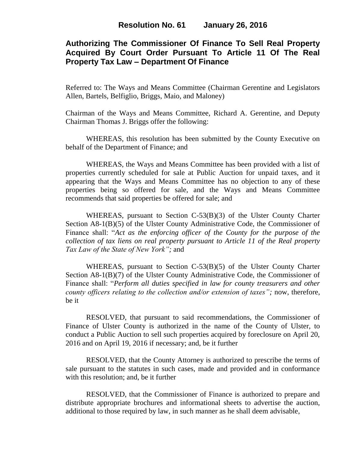# **Authorizing The Commissioner Of Finance To Sell Real Property Acquired By Court Order Pursuant To Article 11 Of The Real Property Tax Law – Department Of Finance**

Referred to: The Ways and Means Committee (Chairman Gerentine and Legislators Allen, Bartels, Belfiglio, Briggs, Maio, and Maloney)

Chairman of the Ways and Means Committee, Richard A. Gerentine, and Deputy Chairman Thomas J. Briggs offer the following:

WHEREAS, this resolution has been submitted by the County Executive on behalf of the Department of Finance; and

WHEREAS, the Ways and Means Committee has been provided with a list of properties currently scheduled for sale at Public Auction for unpaid taxes, and it appearing that the Ways and Means Committee has no objection to any of these properties being so offered for sale, and the Ways and Means Committee recommends that said properties be offered for sale; and

WHEREAS, pursuant to Section C-53(B)(3) of the Ulster County Charter Section A8-1(B)(5) of the Ulster County Administrative Code, the Commissioner of Finance shall: "*Act as the enforcing officer of the County for the purpose of the collection of tax liens on real property pursuant to Article 11 of the Real property Tax Law of the State of New York";* and

WHEREAS, pursuant to Section C-53(B)(5) of the Ulster County Charter Section A8-1(B)(7) of the Ulster County Administrative Code, the Commissioner of Finance shall: "*Perform all duties specified in law for county treasurers and other county officers relating to the collection and/or extension of taxes";* now, therefore, be it

RESOLVED, that pursuant to said recommendations, the Commissioner of Finance of Ulster County is authorized in the name of the County of Ulster, to conduct a Public Auction to sell such properties acquired by foreclosure on April 20, 2016 and on April 19, 2016 if necessary; and, be it further

RESOLVED, that the County Attorney is authorized to prescribe the terms of sale pursuant to the statutes in such cases, made and provided and in conformance with this resolution; and, be it further

RESOLVED, that the Commissioner of Finance is authorized to prepare and distribute appropriate brochures and informational sheets to advertise the auction, additional to those required by law, in such manner as he shall deem advisable,